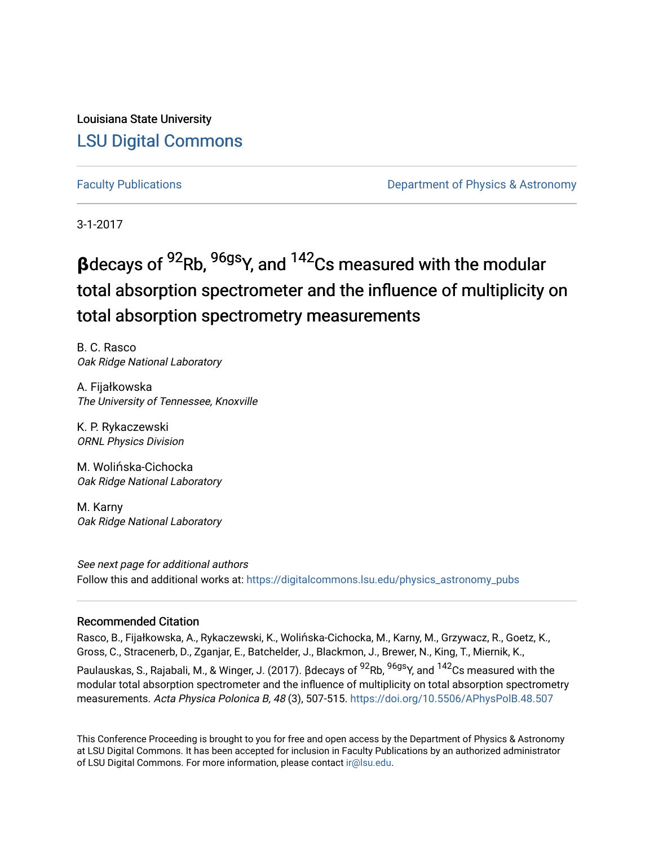Louisiana State University [LSU Digital Commons](https://digitalcommons.lsu.edu/)

[Faculty Publications](https://digitalcommons.lsu.edu/physics_astronomy_pubs) **Example 2** Constant Department of Physics & Astronomy

3-1-2017

# **β**decays of 92Rb, 96gsY, and 142Cs measured with the modular total absorption spectrometer and the influence of multiplicity on total absorption spectrometry measurements

B. C. Rasco Oak Ridge National Laboratory

A. Fijałkowska The University of Tennessee, Knoxville

K. P. Rykaczewski ORNL Physics Division

M. Wolińska-Cichocka Oak Ridge National Laboratory

M. Karny Oak Ridge National Laboratory

See next page for additional authors Follow this and additional works at: [https://digitalcommons.lsu.edu/physics\\_astronomy\\_pubs](https://digitalcommons.lsu.edu/physics_astronomy_pubs?utm_source=digitalcommons.lsu.edu%2Fphysics_astronomy_pubs%2F228&utm_medium=PDF&utm_campaign=PDFCoverPages) 

## Recommended Citation

Rasco, B., Fijałkowska, A., Rykaczewski, K., Wolińska-Cichocka, M., Karny, M., Grzywacz, R., Goetz, K., Gross, C., Stracenerb, D., Zganjar, E., Batchelder, J., Blackmon, J., Brewer, N., King, T., Miernik, K.,

Paulauskas, S., Rajabali, M., & Winger, J. (2017). βdecays of <sup>92</sup>Rb, <sup>96gs</sup>Y, and <sup>142</sup>Cs measured with the modular total absorption spectrometer and the influence of multiplicity on total absorption spectrometry measurements. Acta Physica Polonica B, 48 (3), 507-515.<https://doi.org/10.5506/APhysPolB.48.507>

This Conference Proceeding is brought to you for free and open access by the Department of Physics & Astronomy at LSU Digital Commons. It has been accepted for inclusion in Faculty Publications by an authorized administrator of LSU Digital Commons. For more information, please contact [ir@lsu.edu](mailto:ir@lsu.edu).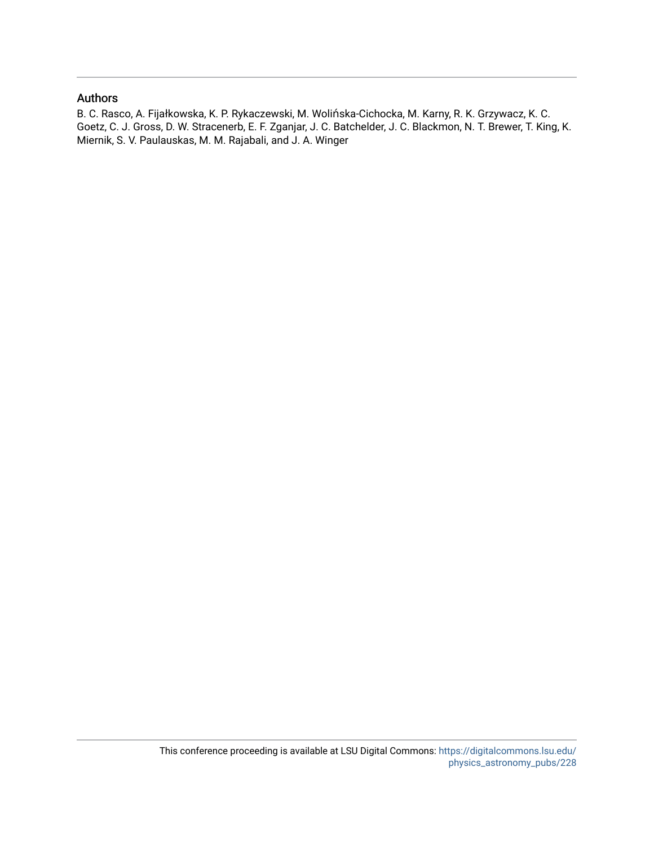# Authors

B. C. Rasco, A. Fijałkowska, K. P. Rykaczewski, M. Wolińska-Cichocka, M. Karny, R. K. Grzywacz, K. C. Goetz, C. J. Gross, D. W. Stracenerb, E. F. Zganjar, J. C. Batchelder, J. C. Blackmon, N. T. Brewer, T. King, K. Miernik, S. V. Paulauskas, M. M. Rajabali, and J. A. Winger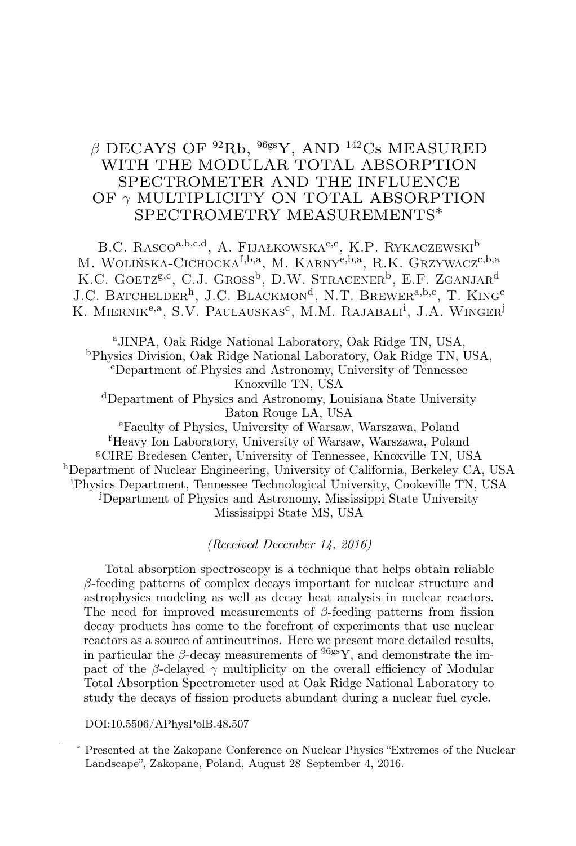# $\beta$  DECAYS OF  $92$ Rb,  $96$ gsY, AND  $142$ Cs MEASURED WITH THE MODULAR TOTAL ABSORPTION SPECTROMETER AND THE INFLUENCE OF γ MULTIPLICITY ON TOTAL ABSORPTION SPECTROMETRY MEASUREMENTS∗

B.C. RASCO<sup>a,b,c,d</sup>, A. Fijałkowska<sup>e,c</sup>, K.P. Rykaczewski<sup>b</sup> M. WOLIŃSKA-CICHOCKA<sup>f,b,a</sup>, M. KARNY<sup>e,b,a</sup>, R.K. GRZYWACZ<sup>c,b,a</sup> K.C. GOETZ<sup>g,c</sup>, C.J. Gross<sup>b</sup>, D.W. Stracener<sup>b</sup>, E.F. Zganjar<sup>d</sup> J.C. BATCHELDER<sup>h</sup>, J.C. BLACKMON<sup>d</sup>, N.T. BREWER<sup>a,b,c</sup>, T. KING<sup>c</sup> K. MIERNIK<sup>e,a</sup>, S.V. Paulauskas<sup>c</sup>, M.M. Rajabali<sup>i</sup>, J.A. Winger<sup>j</sup>

<sup>a</sup>JINPA, Oak Ridge National Laboratory, Oak Ridge TN, USA, <sup>b</sup>Physics Division, Oak Ridge National Laboratory, Oak Ridge TN, USA, <sup>c</sup>Department of Physics and Astronomy, University of Tennessee Knoxville TN, USA <sup>d</sup>Department of Physics and Astronomy, Louisiana State University Baton Rouge LA, USA <sup>e</sup>Faculty of Physics, University of Warsaw, Warszawa, Poland

<sup>f</sup>Heavy Ion Laboratory, University of Warsaw, Warszawa, Poland <sup>g</sup>CIRE Bredesen Center, University of Tennessee, Knoxville TN, USA <sup>h</sup>Department of Nuclear Engineering, University of California, Berkeley CA, USA <sup>i</sup>Physics Department, Tennessee Technological University, Cookeville TN, USA <sup>j</sup>Department of Physics and Astronomy, Mississippi State University Mississippi State MS, USA

(Received December 14, 2016)

Total absorption spectroscopy is a technique that helps obtain reliable  $\beta$ -feeding patterns of complex decays important for nuclear structure and astrophysics modeling as well as decay heat analysis in nuclear reactors. The need for improved measurements of  $\beta$ -feeding patterns from fission decay products has come to the forefront of experiments that use nuclear reactors as a source of antineutrinos. Here we present more detailed results, in particular the  $\beta$ -decay measurements of  $96s\bar{s}Y$ , and demonstrate the impact of the β-delayed  $\gamma$  multiplicity on the overall efficiency of Modular Total Absorption Spectrometer used at Oak Ridge National Laboratory to study the decays of fission products abundant during a nuclear fuel cycle.

DOI:10.5506/APhysPolB.48.507

<sup>∗</sup> Presented at the Zakopane Conference on Nuclear Physics "Extremes of the Nuclear Landscape", Zakopane, Poland, August 28–September 4, 2016.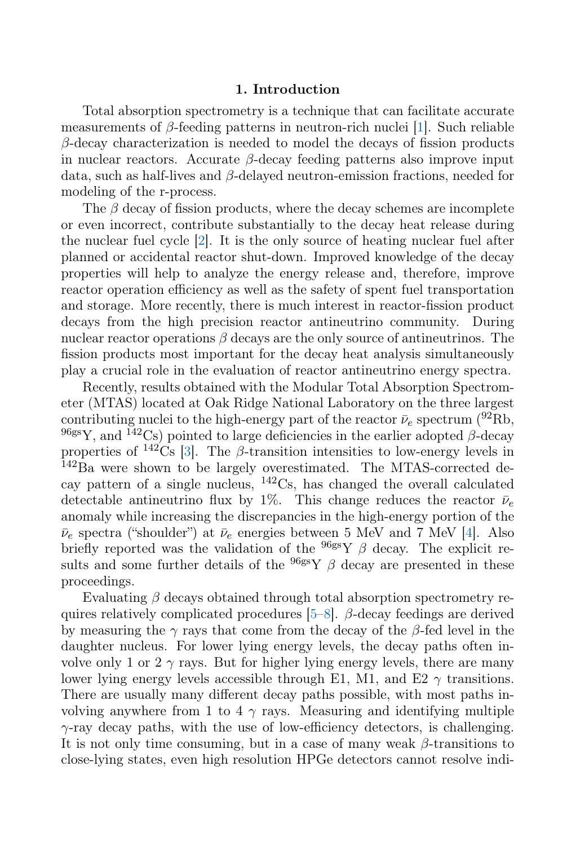#### 1. Introduction

Total absorption spectrometry is a technique that can facilitate accurate measurements of  $\beta$ -feeding patterns in neutron-rich nuclei [\[1\]](#page-9-0). Such reliable  $\beta$ -decay characterization is needed to model the decays of fission products in nuclear reactors. Accurate  $\beta$ -decay feeding patterns also improve input data, such as half-lives and  $\beta$ -delayed neutron-emission fractions, needed for modeling of the r-process.

The  $\beta$  decay of fission products, where the decay schemes are incomplete or even incorrect, contribute substantially to the decay heat release during the nuclear fuel cycle [\[2\]](#page-9-1). It is the only source of heating nuclear fuel after planned or accidental reactor shut-down. Improved knowledge of the decay properties will help to analyze the energy release and, therefore, improve reactor operation efficiency as well as the safety of spent fuel transportation and storage. More recently, there is much interest in reactor-fission product decays from the high precision reactor antineutrino community. During nuclear reactor operations  $\beta$  decays are the only source of antineutrinos. The fission products most important for the decay heat analysis simultaneously play a crucial role in the evaluation of reactor antineutrino energy spectra.

Recently, results obtained with the Modular Total Absorption Spectrometer (MTAS) located at Oak Ridge National Laboratory on the three largest contributing nuclei to the high-energy part of the reactor  $\bar{\nu}_e$  spectrum (<sup>92</sup>Rb,  $96$ gsY, and  $142$ Cs) pointed to large deficiencies in the earlier adopted β-decay properties of  $\frac{142}{\text{Cs}}$  [\[3\]](#page-9-2). The  $\beta$ -transition intensities to low-energy levels in <sup>142</sup>Ba were shown to be largely overestimated. The MTAS-corrected decay pattern of a single nucleus,  $142\text{Cs}$ , has changed the overall calculated detectable antineutrino flux by 1%. This change reduces the reactor  $\bar{\nu}_e$ anomaly while increasing the discrepancies in the high-energy portion of the  $\bar{\nu}_e$  spectra ("shoulder") at  $\bar{\nu}_e$  energies between 5 MeV and 7 MeV [\[4\]](#page-9-3). Also briefly reported was the validation of the  $96g$ sY  $\beta$  decay. The explicit results and some further details of the  $96$ gsY  $\beta$  decay are presented in these proceedings.

Evaluating  $\beta$  decays obtained through total absorption spectrometry requires relatively complicated procedures  $[5-8]$  $[5-8]$ .  $\beta$ -decay feedings are derived by measuring the  $\gamma$  rays that come from the decay of the  $\beta$ -fed level in the daughter nucleus. For lower lying energy levels, the decay paths often involve only 1 or 2  $\gamma$  rays. But for higher lying energy levels, there are many lower lying energy levels accessible through E1, M1, and E2  $\gamma$  transitions. There are usually many different decay paths possible, with most paths involving anywhere from 1 to 4  $\gamma$  rays. Measuring and identifying multiple  $\gamma$ -ray decay paths, with the use of low-efficiency detectors, is challenging. It is not only time consuming, but in a case of many weak  $\beta$ -transitions to close-lying states, even high resolution HPGe detectors cannot resolve indi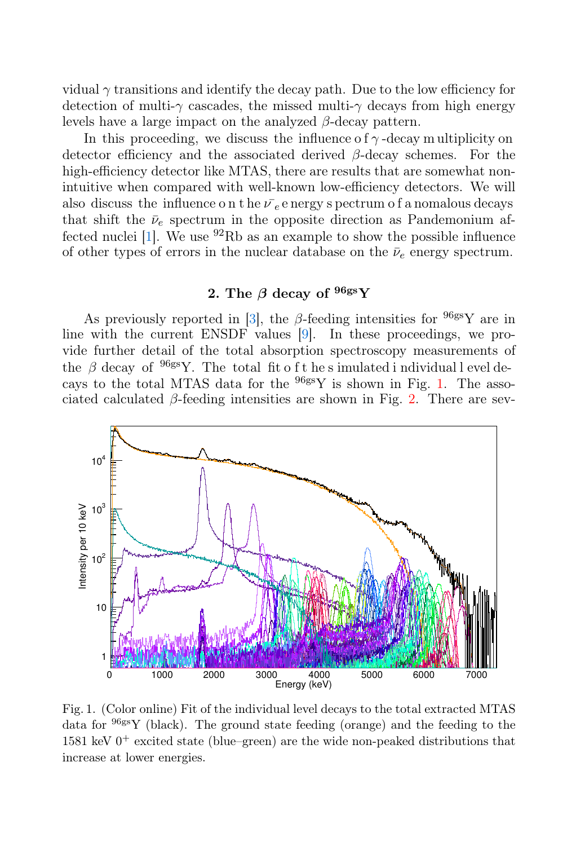vidual  $\gamma$  transitions and identify the decay path. Due to the low efficiency for detection of multi- $\gamma$  cascades, the missed multi- $\gamma$  decays from high energy levels have a large impact on the analyzed  $\beta$ -decay pattern.

In this proceeding, we discuss the influence of  $\gamma$ -decay multiplicity on detector efficiency and the associated derived  $\beta$ -decay schemes. For the high-efficiency detector like MTAS, there are results that are somewhat nonintuitive when compared with well-known low-efficiency detectors. We will also discuss the influence on the  $\bar{\nu}_e$  e nergy spectrum of a nomalous decays that shift the  $\bar{\nu}_e$  spectrum in the opposite direction as Pandemonium affected nuclei  $[1]$ . We use <sup>92</sup>Rb as an example to show the possible influence of other types of errors in the nuclear database on the  $\bar{\nu}_e$  energy spectrum.

## 2. The  $\beta$  decay of  $96g$ s $Y$

As previously reported in [\[3\],](#page-9-2) the  $\beta$ -feeding intensities for  $96$ gsY are in line with the current ENSDF values [\[9\]](#page-9-6). In these proceedings, we provide further detail of the total absorption spectroscopy measurements of the  $\beta$  decay of <sup>96gs</sup>Y. The total fit of the simulated i ndividual l evel decays to the total MTAS data for the 96gsY is shown in Fig. [1.](#page-4-0) The associated calculated  $\beta$ -feeding intensities are shown in Fig. [2.](#page-5-0) There are sev-



<span id="page-4-0"></span>Fig. 1. (Color online) Fit of the individual level decays to the total extracted MTAS data for  $96gSY$  (black). The ground state feeding (orange) and the feeding to the 1581 keV  $0^+$  excited state (blue–green) are the wide non-peaked distributions that increase at lower energies.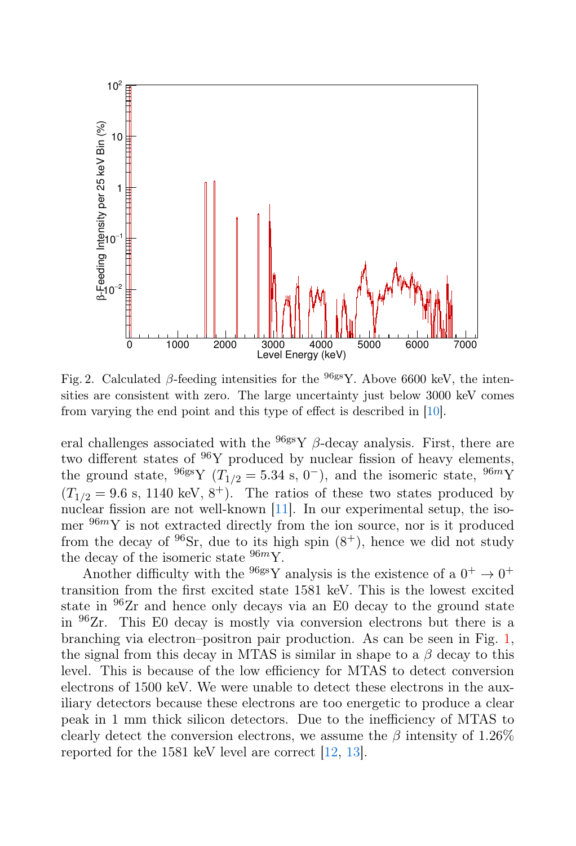

<span id="page-5-0"></span>Fig. 2. Calculated β-feeding intensities for the  $968\text{°Y}$ . Above 6600 keV, the intensities are consistent with zero. The large uncertainty just below 3000 keV comes from varying the end point and this type of effect is described in [\[10\]](#page-10-0).

eral challenges associated with the  $96g$ s Y  $\beta$ -decay analysis. First, there are two different states of  $96Y$  produced by nuclear fission of heavy elements, the ground state, <sup>96gs</sup>Y ( $T_{1/2} = 5.34$  s, 0<sup>-</sup>), and the isomeric state, <sup>96m</sup>Y  $(T_{1/2} = 9.6 \text{ s}, 1140 \text{ keV}, 8^+).$  The ratios of these two states produced by nuclear fission are not well-known  $[11]$ . In our experimental setup, the isomer  $96m$ Y is not extracted directly from the ion source, nor is it produced from the decay of  $96Sr$ , due to its high spin  $(8^+)$ , hence we did not study the decay of the isomeric state  $96m$ Y.

Another difficulty with the <sup>96gs</sup>Y analysis is the existence of a  $0^+ \rightarrow 0^+$ transition from the first excited state 1581 keV. This is the lowest excited state in  $96$ Zr and hence only decays via an E0 decay to the ground state in <sup>96</sup>Zr. This E0 decay is mostly via conversion electrons but there is a branching via electron–positron pair production. As can be seen in Fig. [1,](#page-4-0) the signal from this decay in MTAS is similar in shape to a  $\beta$  decay to this level. This is because of the low efficiency for MTAS to detect conversion electrons of 1500 keV. We were unable to detect these electrons in the auxiliary detectors because these electrons are too energetic to produce a clear peak in 1 mm thick silicon detectors. Due to the inefficiency of MTAS to clearly detect the conversion electrons, we assume the  $\beta$  intensity of 1.26% reported for the 1581 keV level are correct [\[12,](#page-10-2) [13\]](#page-10-3).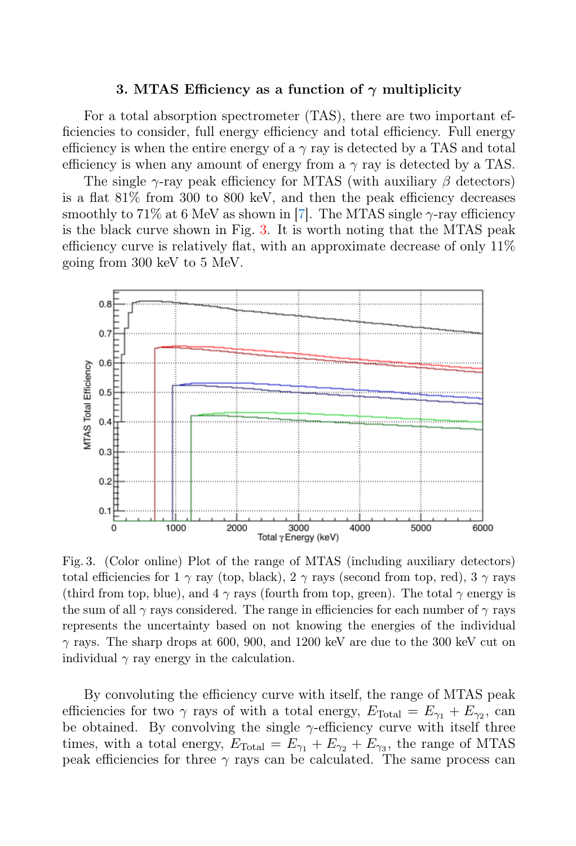#### 3. MTAS Efficiency as a function of  $\gamma$  multiplicity

For a total absorption spectrometer (TAS), there are two important efficiencies to consider, full energy efficiency and total efficiency. Full energy efficiency is when the entire energy of a  $\gamma$  ray is detected by a TAS and total efficiency is when any amount of energy from a  $\gamma$  ray is detected by a TAS.

The single  $\gamma$ -ray peak efficiency for MTAS (with auxiliary  $\beta$  detectors) is a flat 81% from 300 to 800 keV, and then the peak efficiency decreases smoothly to 71% at 6 MeV as shown in [\[7\]](#page-9-7). The MTAS single  $\gamma$ -ray efficiency is the black curve shown in Fig. [3.](#page-6-0) It is worth noting that the MTAS peak efficiency curve is relatively flat, with an approximate decrease of only 11% going from 300 keV to 5 MeV.



<span id="page-6-0"></span>Fig. 3. (Color online) Plot of the range of MTAS (including auxiliary detectors) total efficiencies for 1  $\gamma$  ray (top, black), 2  $\gamma$  rays (second from top, red), 3  $\gamma$  rays (third from top, blue), and  $4\gamma$  rays (fourth from top, green). The total  $\gamma$  energy is the sum of all  $\gamma$  rays considered. The range in efficiencies for each number of  $\gamma$  rays represents the uncertainty based on not knowing the energies of the individual γ rays. The sharp drops at 600, 900, and 1200 keV are due to the 300 keV cut on individual  $\gamma$  ray energy in the calculation.

By convoluting the efficiency curve with itself, the range of MTAS peak efficiencies for two  $\gamma$  rays of with a total energy,  $E_{\text{Total}} = E_{\gamma_1} + E_{\gamma_2}$ , can be obtained. By convolving the single  $\gamma$ -efficiency curve with itself three times, with a total energy,  $E_{\text{Total}} = E_{\gamma_1} + E_{\gamma_2} + E_{\gamma_3}$ , the range of MTAS peak efficiencies for three  $\gamma$  rays can be calculated. The same process can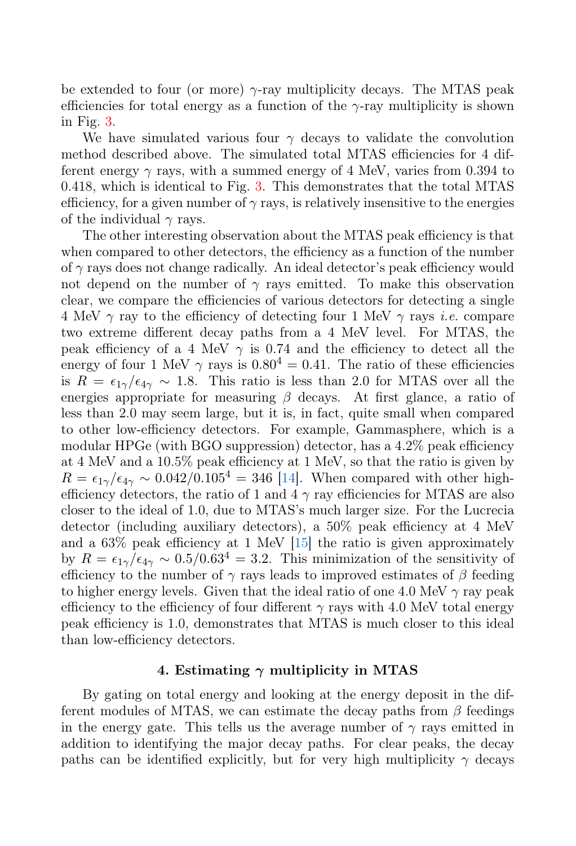be extended to four (or more)  $\gamma$ -ray multiplicity decays. The MTAS peak efficiencies for total energy as a function of the  $\gamma$ -ray multiplicity is shown in Fig. [3.](#page-6-0)

We have simulated various four  $\gamma$  decays to validate the convolution method described above. The simulated total MTAS efficiencies for 4 different energy  $\gamma$  rays, with a summed energy of 4 MeV, varies from 0.394 to 0.418, which is identical to Fig. [3.](#page-6-0) This demonstrates that the total MTAS efficiency, for a given number of  $\gamma$  rays, is relatively insensitive to the energies of the individual  $\gamma$  rays.

The other interesting observation about the MTAS peak efficiency is that when compared to other detectors, the efficiency as a function of the number of  $\gamma$  rays does not change radically. An ideal detector's peak efficiency would not depend on the number of  $\gamma$  rays emitted. To make this observation clear, we compare the efficiencies of various detectors for detecting a single 4 MeV  $\gamma$  ray to the efficiency of detecting four 1 MeV  $\gamma$  rays *i.e.* compare two extreme different decay paths from a 4 MeV level. For MTAS, the peak efficiency of a 4 MeV  $\gamma$  is 0.74 and the efficiency to detect all the energy of four 1 MeV  $\gamma$  rays is  $0.80^4 = 0.41$ . The ratio of these efficiencies is  $R = \epsilon_{1\gamma}/\epsilon_{4\gamma} \sim 1.8$ . This ratio is less than 2.0 for MTAS over all the energies appropriate for measuring  $\beta$  decays. At first glance, a ratio of less than 2.0 may seem large, but it is, in fact, quite small when compared to other low-efficiency detectors. For example, Gammasphere, which is a modular HPGe (with BGO suppression) detector, has a 4.2% peak efficiency at 4 MeV and a 10.5% peak efficiency at 1 MeV, so that the ratio is given by  $R = \epsilon_{1\gamma}/\epsilon_{4\gamma} \sim 0.042/0.105^4 = 346$  [\[14\]](#page-10-4). When compared with other highefficiency detectors, the ratio of 1 and 4  $\gamma$  ray efficiencies for MTAS are also closer to the ideal of 1.0, due to MTAS's much larger size. For the Lucrecia detector (including auxiliary detectors), a 50% peak efficiency at 4 MeV and a 63% peak efficiency at 1 MeV [\[15\]](#page-10-5) the ratio is given approximately by  $R = \epsilon_{1\gamma}/\epsilon_{4\gamma} \sim 0.5/0.63^4 = 3.2$ . This minimization of the sensitivity of efficiency to the number of  $\gamma$  rays leads to improved estimates of  $\beta$  feeding to higher energy levels. Given that the ideal ratio of one 4.0 MeV  $\gamma$  ray peak efficiency to the efficiency of four different  $\gamma$  rays with 4.0 MeV total energy peak efficiency is 1.0, demonstrates that MTAS is much closer to this ideal than low-efficiency detectors.

#### 4. Estimating  $\gamma$  multiplicity in MTAS

By gating on total energy and looking at the energy deposit in the different modules of MTAS, we can estimate the decay paths from  $\beta$  feedings in the energy gate. This tells us the average number of  $\gamma$  rays emitted in addition to identifying the major decay paths. For clear peaks, the decay paths can be identified explicitly, but for very high multiplicity  $\gamma$  decays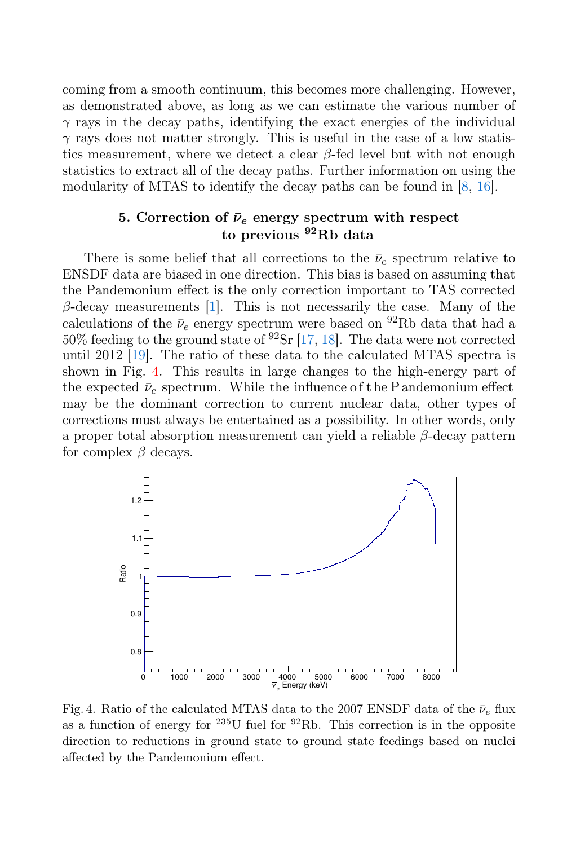coming from a smooth continuum, this becomes more challenging. However, as demonstrated above, as long as we can estimate the various number of  $\gamma$  rays in the decay paths, identifying the exact energies of the individual  $\gamma$  rays does not matter strongly. This is useful in the case of a low statistics measurement, where we detect a clear  $\beta$ -fed level but with not enough statistics to extract all of the decay paths. Further information on using the modularity of MTAS to identify the decay paths can be found in [\[8,](#page-9-5) [16\].](#page-10-6)

# 5. Correction of  $\bar{\nu}_e$  energy spectrum with respect to previous <sup>92</sup>Rb data

There is some belief that all corrections to the  $\bar{\nu}_e$  spectrum relative to ENSDF data are biased in one direction. This bias is based on assuming that the Pandemonium effect is the only correction important to TAS corrected  $\beta$ -decay measurements [\[1\]](#page-9-0). This is not necessarily the case. Many of the calculations of the  $\bar{\nu}_e$  energy spectrum were based on <sup>92</sup>Rb data that had a  $50\%$  feeding to the ground state of  $92\text{Sr}$  [\[17,](#page-10-7) [18\]](#page-10-8). The data were not corrected until 2012 [\[19\].](#page-10-9) The ratio of these data to the calculated MTAS spectra is shown in Fig. [4.](#page-8-0) This results in large changes to the high-energy part of the expected  $\bar{\nu}_e$  spectrum. While the influence of the Pandemonium effect may be the dominant correction to current nuclear data, other types of corrections must always be entertained as a possibility. In other words, only a proper total absorption measurement can yield a reliable β-decay pattern for complex  $\beta$  decays.



<span id="page-8-0"></span>Fig. 4. Ratio of the calculated MTAS data to the 2007 ENSDF data of the  $\bar{\nu}_e$  flux as a function of energy for  $235$ U fuel for  $92$ Rb. This correction is in the opposite direction to reductions in ground state to ground state feedings based on nuclei affected by the Pandemonium effect.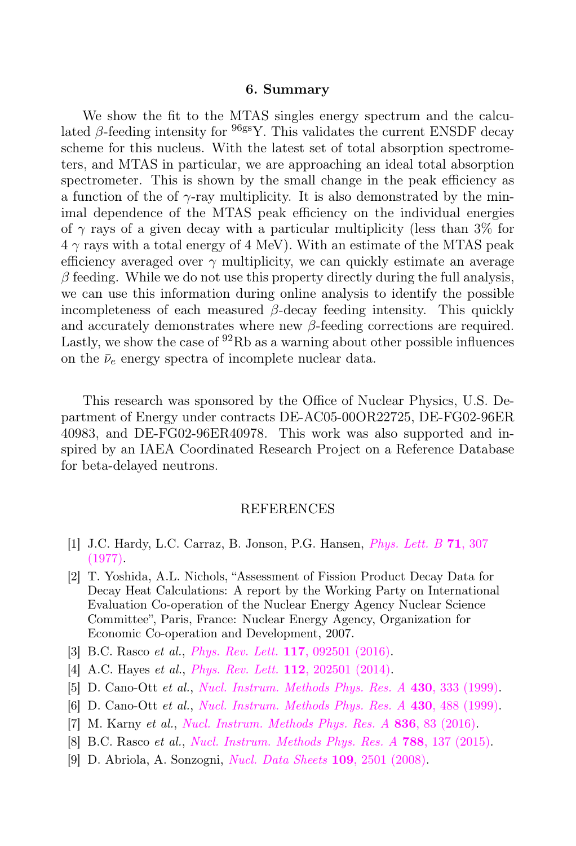#### 6. Summary

We show the fit to the MTAS singles energy spectrum and the calculated β-feeding intensity for  $96gS$ . This validates the current ENSDF decay scheme for this nucleus. With the latest set of total absorption spectrometers, and MTAS in particular, we are approaching an ideal total absorption spectrometer. This is shown by the small change in the peak efficiency as a function of the of  $\gamma$ -ray multiplicity. It is also demonstrated by the minimal dependence of the MTAS peak efficiency on the individual energies of  $\gamma$  rays of a given decay with a particular multiplicity (less than 3% for  $4 \gamma$  rays with a total energy of 4 MeV). With an estimate of the MTAS peak efficiency averaged over  $\gamma$  multiplicity, we can quickly estimate an average  $\beta$  feeding. While we do not use this property directly during the full analysis, we can use this information during online analysis to identify the possible incompleteness of each measured  $\beta$ -decay feeding intensity. This quickly and accurately demonstrates where new  $\beta$ -feeding corrections are required. Lastly, we show the case of  $92Rb$  as a warning about other possible influences on the  $\bar{\nu}_e$  energy spectra of incomplete nuclear data.

This research was sponsored by the Office of Nuclear Physics, U.S. Department of Energy under contracts DE-AC05-00OR22725, DE-FG02-96ER 40983, and DE-FG02-96ER40978. This work was also supported and inspired by an IAEA Coordinated Research Project on a Reference Database for beta-delayed neutrons.

#### REFERENCES

- <span id="page-9-0"></span>[1] J.C. Hardy, L.C. Carraz, B. Jonson, P.G. Hansen, [Phys. Lett. B](http://dx.doi.org/10.1016/0370-2693(77)90223-4) 71, 307 [\(1977\).](http://dx.doi.org/10.1016/0370-2693(77)90223-4)
- <span id="page-9-1"></span>[2] T. Yoshida, A.L. Nichols, "Assessment of Fission Product Decay Data for Decay Heat Calculations: A report by the Working Party on International Evaluation Co-operation of the Nuclear Energy Agency Nuclear Science Committee", Paris, France: Nuclear Energy Agency, Organization for Economic Co-operation and Development, 2007.
- <span id="page-9-2"></span>[3] B.C. Rasco *et al., [Phys. Rev. Lett.](http://dx.doi.org/10.1103/PhysRevLett.117.092501)* **117**, 092501 (2016).
- <span id="page-9-3"></span>[4] A.C. Hayes *et al., [Phys. Rev. Lett.](http://dx.doi.org/10.1103/PhysRevLett.112.202501)* **112**, 202501 (2014).
- <span id="page-9-4"></span>[5] D. Cano-Ott et al., [Nucl. Instrum. Methods Phys. Res. A](http://dx.doi.org/10.1016/S0168-9002(99)00217-X) 430, 333 (1999).
- [6] D. Cano-Ott et al., [Nucl. Instrum. Methods Phys. Res. A](http://dx.doi.org/10.1016/S0168-9002(99)00216-8) 430, 488 (1999).
- <span id="page-9-7"></span>[7] M. Karny et al., [Nucl. Instrum. Methods Phys. Res. A](http://dx.doi.org/10.1016/j.nima.2016.08.046) 836, 83 (2016).
- <span id="page-9-5"></span>[8] B.C. Rasco et al., [Nucl. Instrum. Methods Phys. Res. A](http://dx.doi.org/10.1016/j.nima.2015.03.087) 788, 137 (2015).
- <span id="page-9-6"></span>[9] D. Abriola, A. Sonzogni, [Nucl. Data Sheets](http://dx.doi.org/10.1016/j.nds.2008.10.002) 109, 2501 (2008).